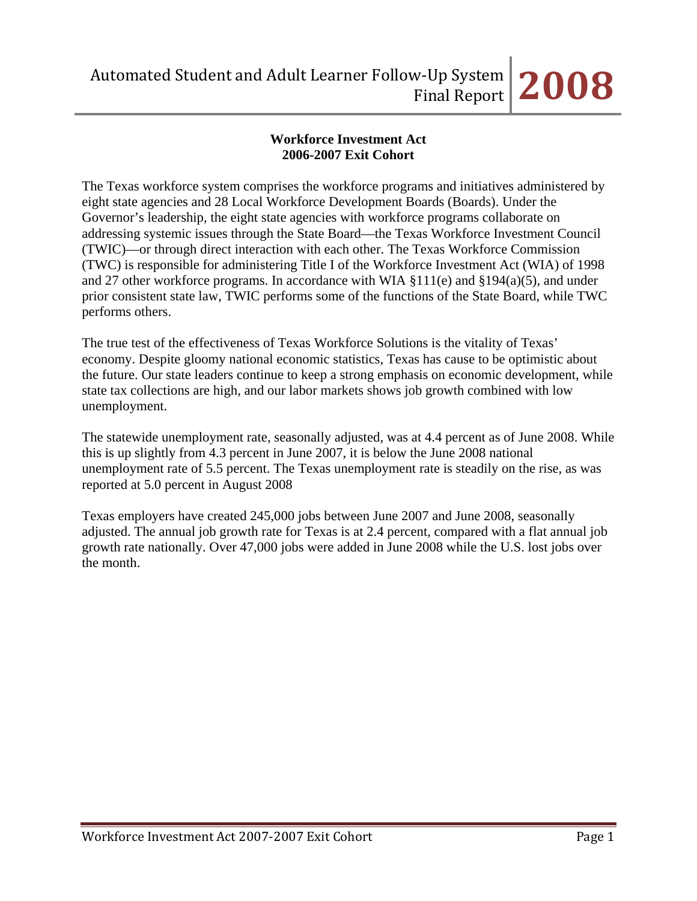# **Workforce Investment Act 2006-2007 Exit Cohort**

The Texas workforce system comprises the workforce programs and initiatives administered by eight state agencies and 28 Local Workforce Development Boards (Boards). Under the Governor's leadership, the eight state agencies with workforce programs collaborate on addressing systemic issues through the State Board—the Texas Workforce Investment Council (TWIC)—or through direct interaction with each other. The Texas Workforce Commission (TWC) is responsible for administering Title I of the Workforce Investment Act (WIA) of 1998 and 27 other workforce programs. In accordance with WIA §111(e) and §194(a)(5), and under prior consistent state law, TWIC performs some of the functions of the State Board, while TWC performs others.

The true test of the effectiveness of Texas Workforce Solutions is the vitality of Texas' economy. Despite gloomy national economic statistics, Texas has cause to be optimistic about the future. Our state leaders continue to keep a strong emphasis on economic development, while state tax collections are high, and our labor markets shows job growth combined with low unemployment.

The statewide unemployment rate, seasonally adjusted, was at 4.4 percent as of June 2008. While this is up slightly from 4.3 percent in June 2007, it is below the June 2008 national unemployment rate of 5.5 percent. The Texas unemployment rate is steadily on the rise, as was reported at 5.0 percent in August 2008

Texas employers have created 245,000 jobs between June 2007 and June 2008, seasonally adjusted. The annual job growth rate for Texas is at 2.4 percent, compared with a flat annual job growth rate nationally. Over 47,000 jobs were added in June 2008 while the U.S. lost jobs over the month.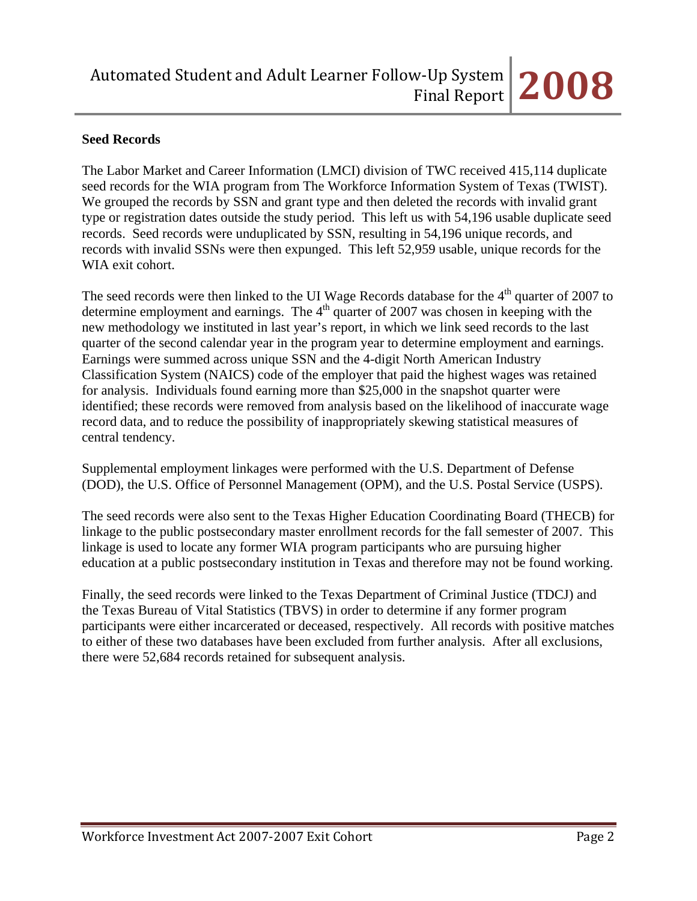# **Seed Records**

The Labor Market and Career Information (LMCI) division of TWC received 415,114 duplicate seed records for the WIA program from The Workforce Information System of Texas (TWIST). We grouped the records by SSN and grant type and then deleted the records with invalid grant type or registration dates outside the study period. This left us with 54,196 usable duplicate seed records. Seed records were unduplicated by SSN, resulting in 54,196 unique records, and records with invalid SSNs were then expunged. This left 52,959 usable, unique records for the WIA exit cohort.

The seed records were then linked to the UI Wage Records database for the  $4<sup>th</sup>$  quarter of 2007 to determine employment and earnings. The 4<sup>th</sup> quarter of 2007 was chosen in keeping with the new methodology we instituted in last year's report, in which we link seed records to the last quarter of the second calendar year in the program year to determine employment and earnings. Earnings were summed across unique SSN and the 4-digit North American Industry Classification System (NAICS) code of the employer that paid the highest wages was retained for analysis. Individuals found earning more than \$25,000 in the snapshot quarter were identified; these records were removed from analysis based on the likelihood of inaccurate wage record data, and to reduce the possibility of inappropriately skewing statistical measures of central tendency.

Supplemental employment linkages were performed with the U.S. Department of Defense (DOD), the U.S. Office of Personnel Management (OPM), and the U.S. Postal Service (USPS).

The seed records were also sent to the Texas Higher Education Coordinating Board (THECB) for linkage to the public postsecondary master enrollment records for the fall semester of 2007. This linkage is used to locate any former WIA program participants who are pursuing higher education at a public postsecondary institution in Texas and therefore may not be found working.

Finally, the seed records were linked to the Texas Department of Criminal Justice (TDCJ) and the Texas Bureau of Vital Statistics (TBVS) in order to determine if any former program participants were either incarcerated or deceased, respectively. All records with positive matches to either of these two databases have been excluded from further analysis. After all exclusions, there were 52,684 records retained for subsequent analysis.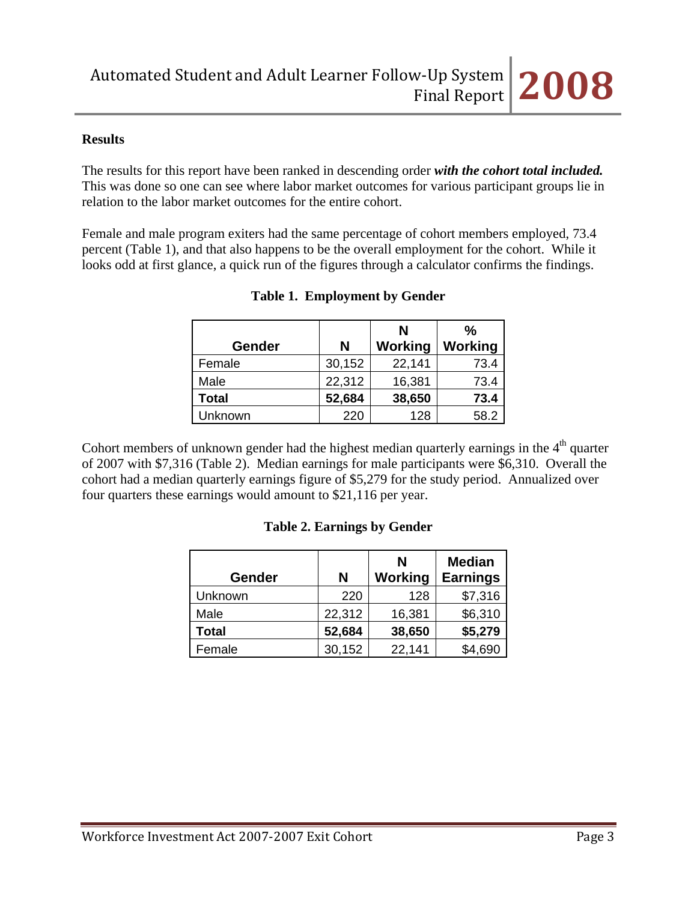### **Results**

The results for this report have been ranked in descending order *with the cohort total included.* This was done so one can see where labor market outcomes for various participant groups lie in relation to the labor market outcomes for the entire cohort.

Female and male program exiters had the same percentage of cohort members employed, 73.4 percent (Table 1), and that also happens to be the overall employment for the cohort. While it looks odd at first glance, a quick run of the figures through a calculator confirms the findings.

|               |        | N       | ℅       |
|---------------|--------|---------|---------|
| <b>Gender</b> | N      | Working | Working |
| Female        | 30,152 | 22,141  | 73.4    |
| Male          | 22,312 | 16,381  | 73.4    |
| <b>Total</b>  | 52,684 | 38,650  | 73.4    |
| Unknown       | 220    | 128     | 58.2    |

### **Table 1. Employment by Gender**

Cohort members of unknown gender had the highest median quarterly earnings in the  $4<sup>th</sup>$  quarter of 2007 with \$7,316 (Table 2). Median earnings for male participants were \$6,310. Overall the cohort had a median quarterly earnings figure of \$5,279 for the study period. Annualized over four quarters these earnings would amount to \$21,116 per year.

# **Table 2. Earnings by Gender**

| Gender       | N      | N<br>Working | <b>Median</b><br><b>Earnings</b> |
|--------------|--------|--------------|----------------------------------|
| Unknown      | 220    | 128          | \$7,316                          |
| Male         | 22,312 | 16,381       | \$6,310                          |
| <b>Total</b> | 52,684 | 38,650       | \$5,279                          |
| Female       | 30,152 | 22,141       | \$4,690                          |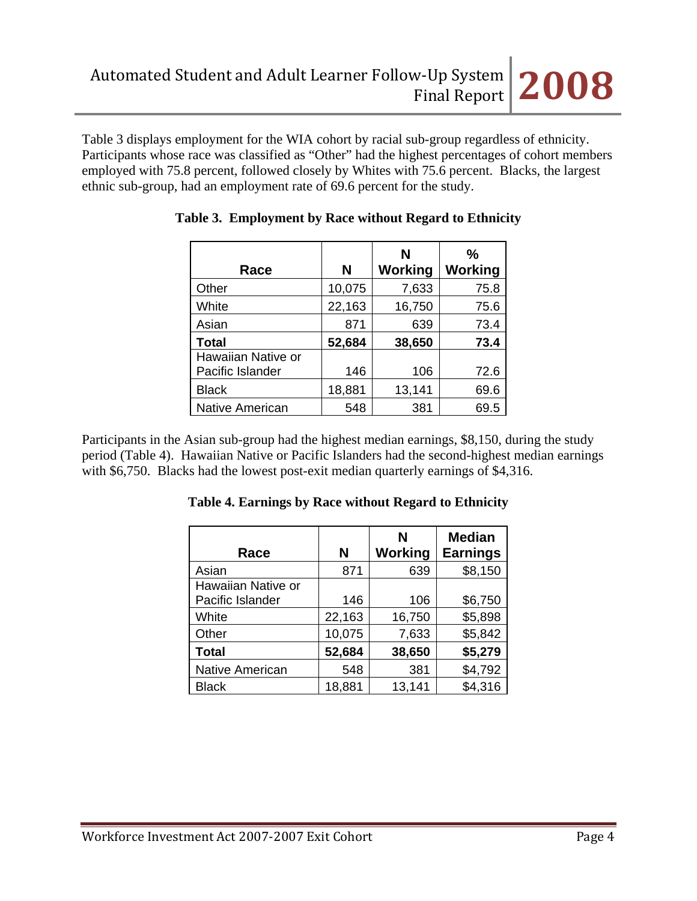Table 3 displays employment for the WIA cohort by racial sub-group regardless of ethnicity. Participants whose race was classified as "Other" had the highest percentages of cohort members employed with 75.8 percent, followed closely by Whites with 75.6 percent. Blacks, the largest ethnic sub-group, had an employment rate of 69.6 percent for the study.

| Race               | N      | N<br>Working | $\frac{9}{6}$<br>Working |
|--------------------|--------|--------------|--------------------------|
| Other              | 10,075 | 7,633        | 75.8                     |
| White              | 22,163 | 16,750       | 75.6                     |
| Asian              | 871    | 639          | 73.4                     |
| <b>Total</b>       | 52,684 | 38,650       | 73.4                     |
| Hawaiian Native or |        |              |                          |
| Pacific Islander   | 146    | 106          | 72.6                     |
| <b>Black</b>       | 18,881 | 13,141       | 69.6                     |
| Native American    | 548    | 381          | 69.5                     |

# **Table 3. Employment by Race without Regard to Ethnicity**

Participants in the Asian sub-group had the highest median earnings, \$8,150, during the study period (Table 4). Hawaiian Native or Pacific Islanders had the second-highest median earnings with \$6,750. Blacks had the lowest post-exit median quarterly earnings of \$4,316.

| Race                                   | N      | N<br>Working | <b>Median</b><br><b>Earnings</b> |
|----------------------------------------|--------|--------------|----------------------------------|
| Asian                                  | 871    | 639          | \$8,150                          |
| Hawaiian Native or<br>Pacific Islander | 146    | 106          | \$6,750                          |
| White                                  | 22,163 | 16,750       | \$5,898                          |
| Other                                  | 10,075 | 7,633        | \$5,842                          |
| <b>Total</b>                           | 52,684 | 38,650       | \$5,279                          |
| <b>Native American</b>                 | 548    | 381          | \$4,792                          |
| <b>Black</b>                           | 18,881 | 13,141       | \$4,316                          |

**Table 4. Earnings by Race without Regard to Ethnicity**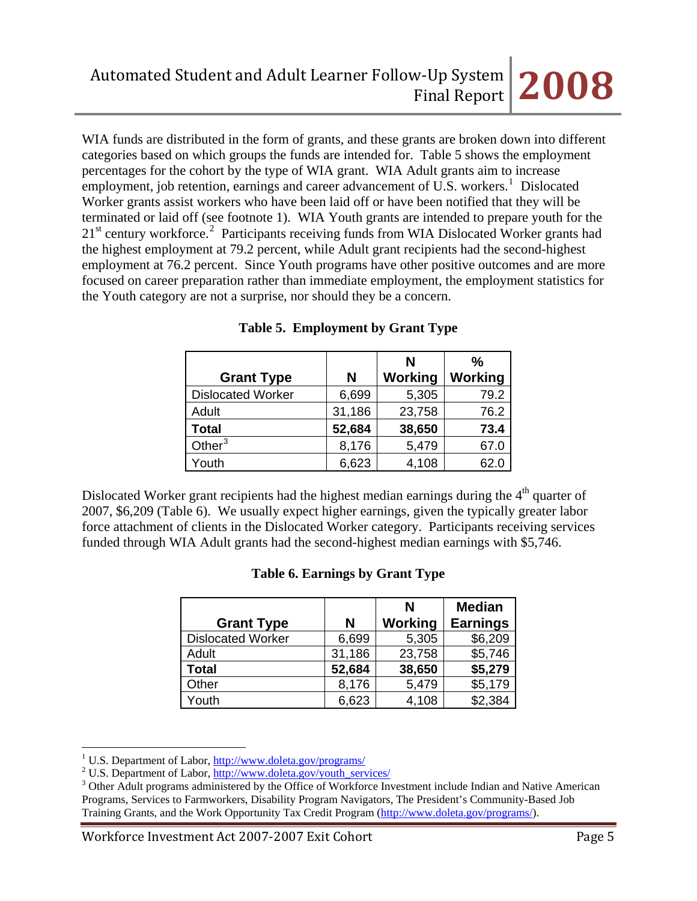WIA funds are distributed in the form of grants, and these grants are broken down into different categories based on which groups the funds are intended for. Table 5 shows the employment percentages for the cohort by the type of WIA grant. WIA Adult grants aim to increase employment, job retention, earnings and career advancement of U.S. workers.<sup>[1](#page-4-0)</sup> Dislocated Worker grants assist workers who have been laid off or have been notified that they will be terminated or laid off (see footnote 1). WIA Youth grants are intended to prepare youth for the [2](#page-4-1)1<sup>st</sup> century workforce.<sup>2</sup> Participants receiving funds from WIA Dislocated Worker grants had the highest employment at 79.2 percent, while Adult grant recipients had the second-highest employment at 76.2 percent. Since Youth programs have other positive outcomes and are more focused on career preparation rather than immediate employment, the employment statistics for the Youth category are not a surprise, nor should they be a concern.

|                          |        | N       | $\frac{0}{0}$ |
|--------------------------|--------|---------|---------------|
| <b>Grant Type</b>        | N      | Working | Working       |
| <b>Dislocated Worker</b> | 6,699  | 5,305   | 79.2          |
| Adult                    | 31,186 | 23,758  | 76.2          |
| <b>Total</b>             | 52,684 | 38,650  | 73.4          |
| Other $3$                | 8,176  | 5,479   | 67.0          |
| Youth                    | 6,623  | 4,108   | 62.C          |

### **Table 5. Employment by Grant Type**

Dislocated Worker grant recipients had the highest median earnings during the  $4<sup>th</sup>$  quarter of 2007, \$6,209 (Table 6). We usually expect higher earnings, given the typically greater labor force attachment of clients in the Dislocated Worker category. Participants receiving services funded through WIA Adult grants had the second-highest median earnings with \$5,746.

|  | Table 6. Earnings by Grant Type |  |  |
|--|---------------------------------|--|--|
|--|---------------------------------|--|--|

|                          |        | N       | <b>Median</b>   |
|--------------------------|--------|---------|-----------------|
| <b>Grant Type</b>        | N      | Working | <b>Earnings</b> |
| <b>Dislocated Worker</b> | 6,699  | 5,305   | \$6,209         |
| Adult                    | 31,186 | 23,758  | \$5,746         |
| <b>Total</b>             | 52,684 | 38,650  | \$5,279         |
| Other                    | 8,176  | 5,479   | \$5,179         |
| Youth                    | 6,623  | 4,108   | \$2,384         |

<sup>&</sup>lt;sup>1</sup> U.S. Department of Labor,  $\frac{http://www.doleta.gov/programs/}{http://www.doleta.gov/programs/}$ 

 $\overline{a}$ 

<span id="page-4-1"></span><span id="page-4-0"></span><sup>&</sup>lt;sup>2</sup> U.S. Department of Labor,  $\frac{http://www.doleta.gov/youth-services/ }$ 

<span id="page-4-2"></span><sup>&</sup>lt;sup>3</sup> Other Adult programs administered by the Office of Workforce Investment include Indian and Native American Programs, Services to Farmworkers, Disability Program Navigators, The President's Community-Based Job Training Grants, and the Work Opportunity Tax Credit Program ([http://www.doleta.gov/programs/\)](http://www.doleta.gov/programs/).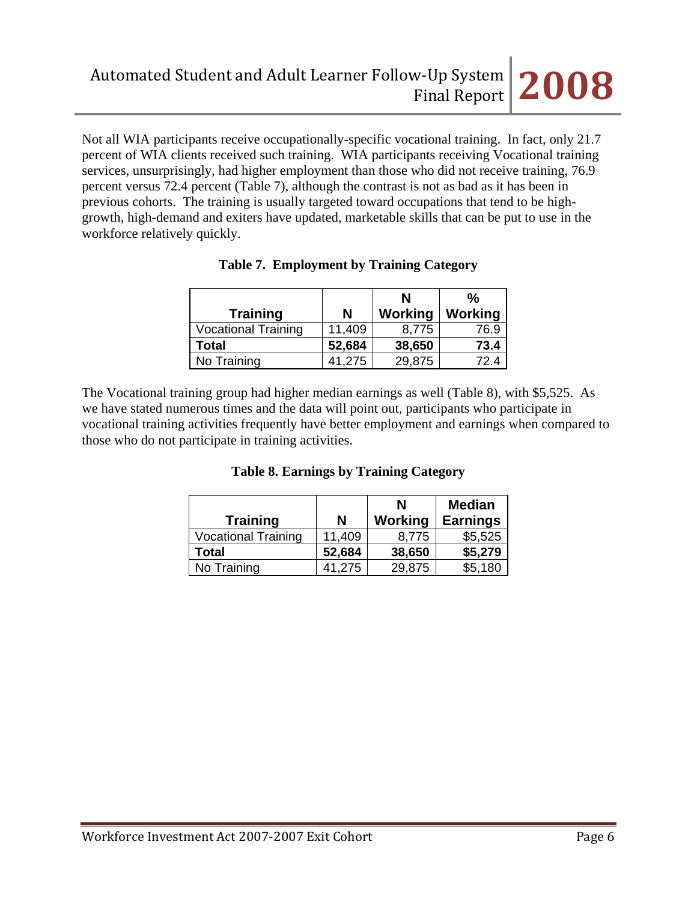Not all WIA participants receive occupationally-specific vocational training. In fact, only 21.7 percent of WIA clients received such training. WIA participants receiving Vocational training services, unsurprisingly, had higher employment than those who did not receive training, 76.9 percent versus 72.4 percent (Table 7), although the contrast is not as bad as it has been in previous cohorts. The training is usually targeted toward occupations that tend to be highgrowth, high-demand and exiters have updated, marketable skills that can be put to use in the workforce relatively quickly.

| <b>Training</b>            | N      | N<br>Working | %<br>Working |
|----------------------------|--------|--------------|--------------|
| <b>Vocational Training</b> | 11,409 | 8,775        | 76.9         |
| <b>Total</b>               | 52,684 | 38,650       | 73.4         |
| No Training                | 41,275 | 29,875       | 72.4         |

**Table 7. Employment by Training Category** 

The Vocational training group had higher median earnings as well (Table 8), with \$5,525. As we have stated numerous times and the data will point out, participants who participate in vocational training activities frequently have better employment and earnings when compared to those who do not participate in training activities.

|  | <b>Table 8. Earnings by Training Category</b> |
|--|-----------------------------------------------|
|--|-----------------------------------------------|

| <b>Training</b>            | N      | N<br>Working | <b>Median</b><br><b>Earnings</b> |
|----------------------------|--------|--------------|----------------------------------|
| <b>Vocational Training</b> | 11,409 | 8,775        | \$5,525                          |
| Total                      | 52,684 | 38,650       | \$5,279                          |
| No Training                | 41,275 | 29,875       | \$5,180                          |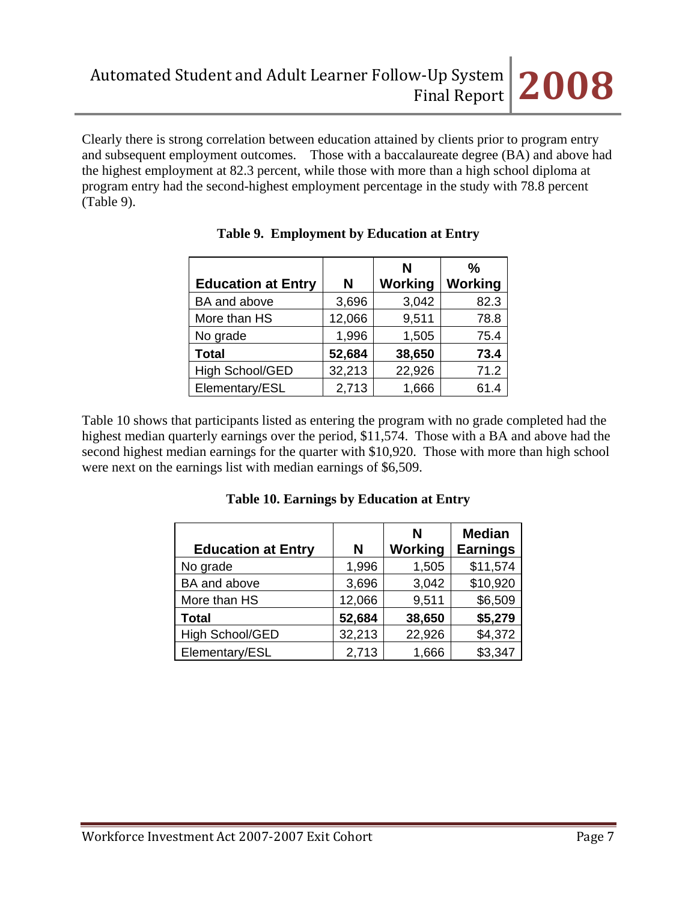Clearly there is strong correlation between education attained by clients prior to program entry and subsequent employment outcomes. Those with a baccalaureate degree (BA) and above had the highest employment at 82.3 percent, while those with more than a high school diploma at program entry had the second-highest employment percentage in the study with 78.8 percent (Table 9).

|                           |        | N       | $\frac{0}{0}$  |
|---------------------------|--------|---------|----------------|
| <b>Education at Entry</b> | N      | Working | <b>Working</b> |
| BA and above              | 3,696  | 3,042   | 82.3           |
| More than HS              | 12,066 | 9,511   | 78.8           |
| No grade                  | 1,996  | 1,505   | 75.4           |
| <b>Total</b>              | 52,684 | 38,650  | 73.4           |
| <b>High School/GED</b>    | 32,213 | 22,926  | 71.2           |
| Elementary/ESL            | 2,713  | 1,666   | 61.4           |

|  | Table 9. Employment by Education at Entry |  |  |
|--|-------------------------------------------|--|--|
|--|-------------------------------------------|--|--|

Table 10 shows that participants listed as entering the program with no grade completed had the highest median quarterly earnings over the period, \$11,574. Those with a BA and above had the second highest median earnings for the quarter with \$10,920. Those with more than high school were next on the earnings list with median earnings of \$6,509.

| <b>Education at Entry</b> | N      | N<br>Working | <b>Median</b><br><b>Earnings</b> |
|---------------------------|--------|--------------|----------------------------------|
| No grade                  | 1,996  | 1,505        | \$11,574                         |
| BA and above              | 3,696  | 3,042        | \$10,920                         |
| More than HS              | 12,066 | 9,511        | \$6,509                          |
| <b>Total</b>              | 52,684 | 38,650       | \$5,279                          |
| High School/GED           | 32,213 | 22,926       | \$4,372                          |
| Elementary/ESL            | 2,713  | 1,666        | \$3,347                          |

**Table 10. Earnings by Education at Entry**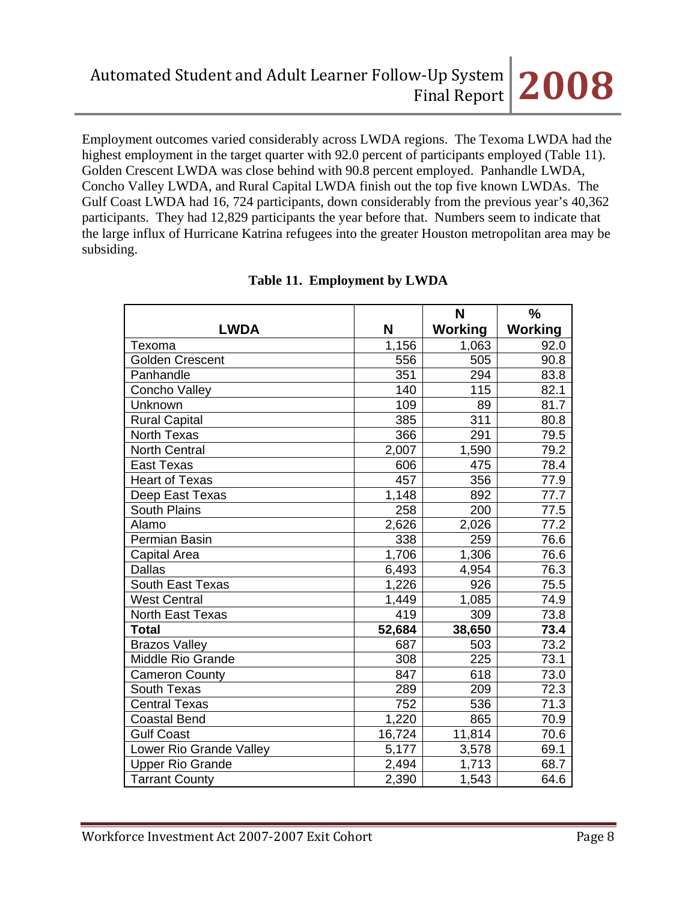Employment outcomes varied considerably across LWDA regions. The Texoma LWDA had the highest employment in the target quarter with 92.0 percent of participants employed (Table 11). Golden Crescent LWDA was close behind with 90.8 percent employed. Panhandle LWDA, Concho Valley LWDA, and Rural Capital LWDA finish out the top five known LWDAs. The Gulf Coast LWDA had 16, 724 participants, down considerably from the previous year's 40,362 participants. They had 12,829 participants the year before that. Numbers seem to indicate that the large influx of Hurricane Katrina refugees into the greater Houston metropolitan area may be subsiding.

|                         |        | N              | $\%$           |  |
|-------------------------|--------|----------------|----------------|--|
| <b>LWDA</b>             | N      | <b>Working</b> | <b>Working</b> |  |
| Texoma                  | 1,156  | 1,063          | 92.0           |  |
| <b>Golden Crescent</b>  | 556    | 505            | 90.8           |  |
| Panhandle               | 351    | 294            | 83.8           |  |
| Concho Valley           | 140    | 115            | 82.1           |  |
| Unknown                 | 109    | 89             | 81.7           |  |
| <b>Rural Capital</b>    | 385    | 311            | 80.8           |  |
| <b>North Texas</b>      | 366    | 291            | 79.5           |  |
| <b>North Central</b>    | 2,007  | 1,590          | 79.2           |  |
| <b>East Texas</b>       | 606    | 475            | 78.4           |  |
| <b>Heart of Texas</b>   | 457    | 356            | 77.9           |  |
| Deep East Texas         | 1,148  | 892            | 77.7           |  |
| <b>South Plains</b>     | 258    | 200            | 77.5           |  |
| Alamo                   | 2,626  | 2,026          | 77.2           |  |
| Permian Basin           | 338    | 259            | 76.6           |  |
| Capital Area            | 1,706  | 1,306          | 76.6           |  |
| <b>Dallas</b>           | 6,493  | 4,954          | 76.3           |  |
| South East Texas        | 1,226  | 926            | 75.5           |  |
| <b>West Central</b>     | 1,449  | 1,085          | 74.9           |  |
| <b>North East Texas</b> | 419    | 309            | 73.8           |  |
| <b>Total</b>            | 52,684 | 38,650         | 73.4           |  |
| <b>Brazos Valley</b>    | 687    | 503            | 73.2           |  |
| Middle Rio Grande       | 308    | 225            | 73.1           |  |
| <b>Cameron County</b>   | 847    | 618            | 73.0           |  |
| South Texas             | 289    | 209            | 72.3           |  |
| <b>Central Texas</b>    | 752    | 536            | 71.3           |  |
| <b>Coastal Bend</b>     | 1,220  | 865            | 70.9           |  |
| <b>Gulf Coast</b>       | 16,724 | 11,814         | 70.6           |  |
| Lower Rio Grande Valley | 5,177  | 3,578          | 69.1           |  |
| <b>Upper Rio Grande</b> | 2,494  | 1,713          | 68.7           |  |
| <b>Tarrant County</b>   | 2,390  | 1,543          | 64.6           |  |

# **Table 11. Employment by LWDA**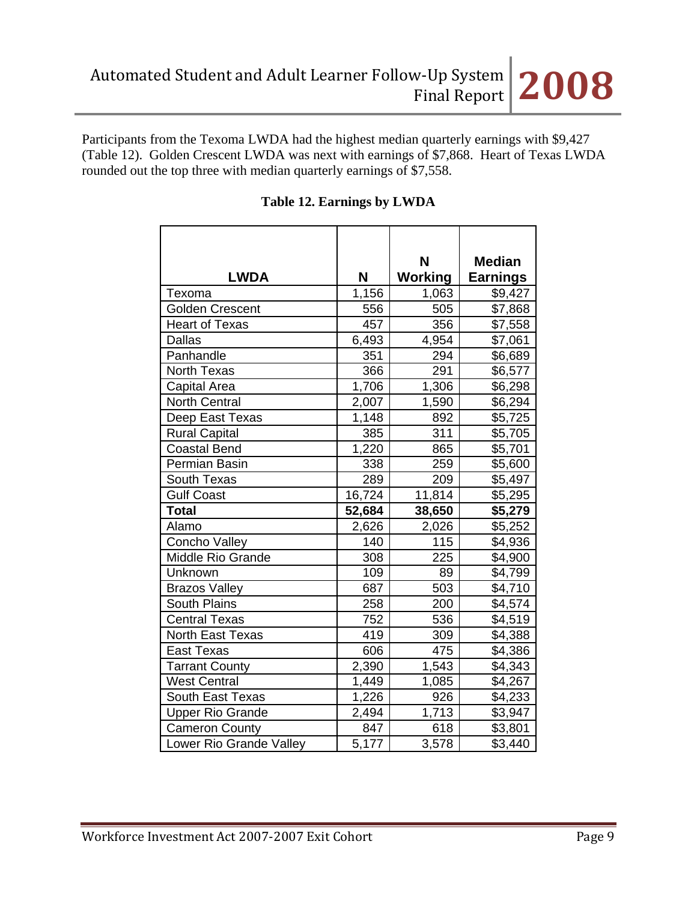Participants from the Texoma LWDA had the highest median quarterly earnings with \$9,427 (Table 12). Golden Crescent LWDA was next with earnings of \$7,868. Heart of Texas LWDA rounded out the top three with median quarterly earnings of \$7,558.

|                         |                    | N       | <b>Median</b>   |
|-------------------------|--------------------|---------|-----------------|
| <b>LWDA</b>             | N                  | Working | <b>Earnings</b> |
| Texoma                  | $\overline{1,156}$ | 1,063   | \$9,427         |
| <b>Golden Crescent</b>  | 556                | 505     | \$7,868         |
| <b>Heart of Texas</b>   | 457                | 356     | \$7,558         |
| <b>Dallas</b>           | 6,493              | 4,954   | \$7,061         |
| Panhandle               | 351                | 294     | \$6,689         |
| North Texas             | 366                | 291     | \$6,577         |
| Capital Area            | 1,706              | 1,306   | \$6,298         |
| <b>North Central</b>    | 2,007              | 1,590   | \$6,294         |
| Deep East Texas         | 1,148              | 892     | \$5,725         |
| <b>Rural Capital</b>    | 385                | 311     | \$5,705         |
| <b>Coastal Bend</b>     | 1,220              | 865     | \$5,701         |
| Permian Basin           | 338                | 259     | \$5,600         |
| South Texas             | 289                | 209     | \$5,497         |
| <b>Gulf Coast</b>       | 16,724             | 11,814  | \$5,295         |
| <b>Total</b>            | 52,684             | 38,650  | \$5,279         |
| Alamo                   | 2,626              | 2,026   | \$5,252         |
| <b>Concho Valley</b>    | 140                | 115     | \$4,936         |
| Middle Rio Grande       | 308                | 225     | \$4,900         |
| Unknown                 | 109                | 89      | \$4,799         |
| <b>Brazos Valley</b>    | 687                | 503     | \$4,710         |
| <b>South Plains</b>     | 258                | 200     | \$4,574         |
| <b>Central Texas</b>    | 752                | 536     | \$4,519         |
| <b>North East Texas</b> | 419                | 309     | \$4,388         |
| <b>East Texas</b>       | 606                | 475     | \$4,386         |
| <b>Tarrant County</b>   | 2,390              | 1,543   | \$4,343         |
| <b>West Central</b>     | 1,449              | 1,085   | \$4,267         |
| <b>South East Texas</b> | 1,226              | 926     | \$4,233         |
| <b>Upper Rio Grande</b> | 2,494              | 1,713   | \$3,947         |
| <b>Cameron County</b>   | 847                | 618     | \$3,801         |
| Lower Rio Grande Valley | 5,177              | 3,578   | \$3,440         |

# **Table 12. Earnings by LWDA**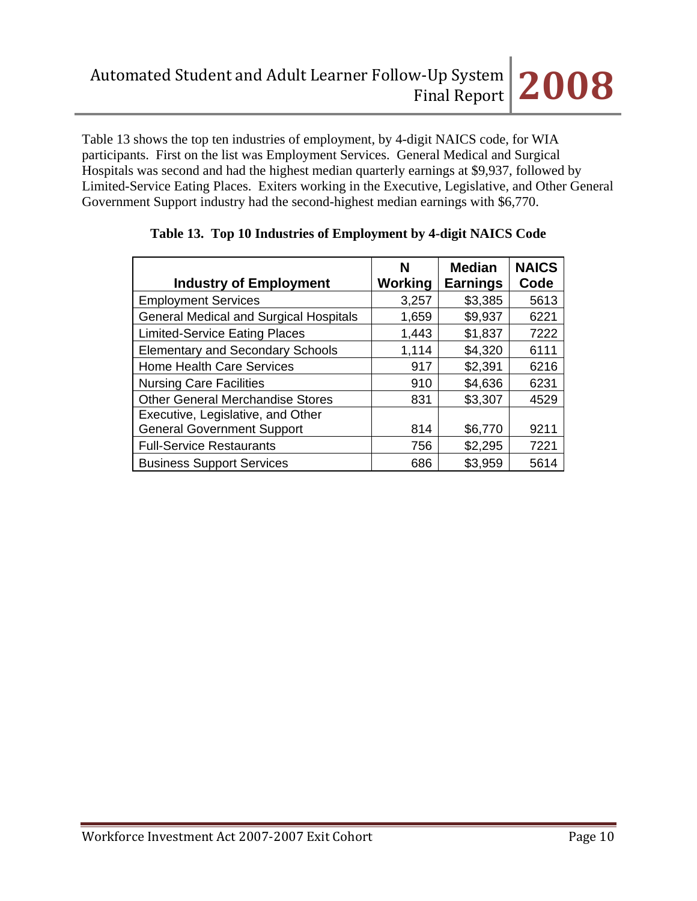Table 13 shows the top ten industries of employment, by 4-digit NAICS code, for WIA participants. First on the list was Employment Services. General Medical and Surgical Hospitals was second and had the highest median quarterly earnings at \$9,937, followed by Limited-Service Eating Places. Exiters working in the Executive, Legislative, and Other General Government Support industry had the second-highest median earnings with \$6,770.

|                                               | N              | <b>Median</b>   | <b>NAICS</b> |
|-----------------------------------------------|----------------|-----------------|--------------|
| <b>Industry of Employment</b>                 | <b>Working</b> | <b>Earnings</b> | Code         |
| <b>Employment Services</b>                    | 3,257          | \$3,385         | 5613         |
| <b>General Medical and Surgical Hospitals</b> | 1,659          | \$9,937         | 6221         |
| <b>Limited-Service Eating Places</b>          | 1,443          | \$1,837         | 7222         |
| <b>Elementary and Secondary Schools</b>       | 1,114          | \$4,320         | 6111         |
| <b>Home Health Care Services</b>              | 917            | \$2,391         | 6216         |
| <b>Nursing Care Facilities</b>                | 910            | \$4,636         | 6231         |
| <b>Other General Merchandise Stores</b>       | 831            | \$3,307         | 4529         |
| Executive, Legislative, and Other             |                |                 |              |
| <b>General Government Support</b>             | 814            | \$6,770         | 9211         |
| <b>Full-Service Restaurants</b>               | 756            | \$2,295         | 7221         |
| <b>Business Support Services</b>              | 686            | \$3,959         | 5614         |

# **Table 13. Top 10 Industries of Employment by 4-digit NAICS Code**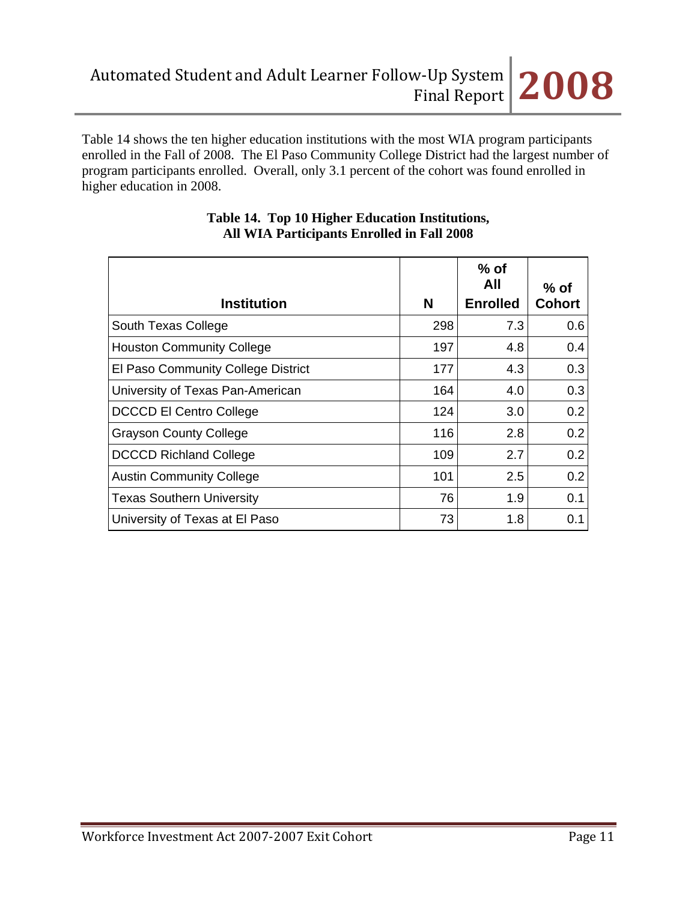

Table 14 shows the ten higher education institutions with the most WIA program participants enrolled in the Fall of 2008. The El Paso Community College District had the largest number of program participants enrolled. Overall, only 3.1 percent of the cohort was found enrolled in higher education in 2008.

| <b>Institution</b>                 | N   | $%$ of<br>All<br><b>Enrolled</b> | $%$ of<br><b>Cohort</b> |
|------------------------------------|-----|----------------------------------|-------------------------|
| South Texas College                | 298 | 7.3                              | 0.6                     |
| <b>Houston Community College</b>   | 197 | 4.8                              | 0.4                     |
| El Paso Community College District | 177 | 4.3                              | 0.3                     |
| University of Texas Pan-American   | 164 | 4.0                              | 0.3                     |
| <b>DCCCD El Centro College</b>     | 124 | 3.0                              | 0.2                     |
| <b>Grayson County College</b>      | 116 | 2.8                              | 0.2                     |
| <b>DCCCD Richland College</b>      | 109 | 2.7                              | 0.2                     |
| <b>Austin Community College</b>    | 101 | 2.5                              | 0.2                     |
| <b>Texas Southern University</b>   | 76  | 1.9                              | 0.1                     |
| University of Texas at El Paso     | 73  | 1.8                              | 0.1                     |

### **Table 14. Top 10 Higher Education Institutions, All WIA Participants Enrolled in Fall 2008**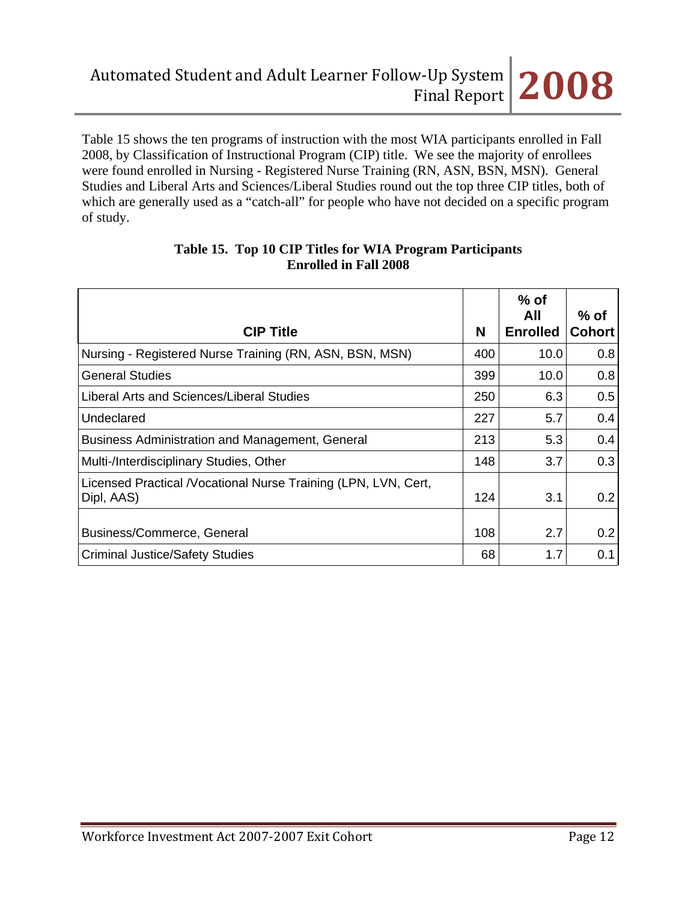Table 15 shows the ten programs of instruction with the most WIA participants enrolled in Fall 2008, by Classification of Instructional Program (CIP) title. We see the majority of enrollees were found enrolled in Nursing - Registered Nurse Training (RN, ASN, BSN, MSN). General Studies and Liberal Arts and Sciences/Liberal Studies round out the top three CIP titles, both of which are generally used as a "catch-all" for people who have not decided on a specific program of study.

| <b>CIP Title</b>                                                              | N   | $%$ of<br>All<br><b>Enrolled</b> | $%$ of<br><b>Cohort</b> |
|-------------------------------------------------------------------------------|-----|----------------------------------|-------------------------|
| Nursing - Registered Nurse Training (RN, ASN, BSN, MSN)                       | 400 | 10.0                             | 0.8                     |
| <b>General Studies</b>                                                        | 399 | 10.0                             | 0.8                     |
| Liberal Arts and Sciences/Liberal Studies                                     | 250 | 6.3                              | 0.5                     |
| Undeclared                                                                    | 227 | 5.7                              | 0.4                     |
| Business Administration and Management, General                               | 213 | 5.3                              | 0.4                     |
| Multi-/Interdisciplinary Studies, Other                                       | 148 | 3.7                              | 0.3                     |
| Licensed Practical / Vocational Nurse Training (LPN, LVN, Cert,<br>Dipl, AAS) | 124 | 3.1                              | 0.2                     |
| Business/Commerce, General                                                    | 108 | 2.7                              | 0.2                     |
| <b>Criminal Justice/Safety Studies</b>                                        | 68  | 1.7                              | 0.1                     |

### **Table 15. Top 10 CIP Titles for WIA Program Participants Enrolled in Fall 2008**